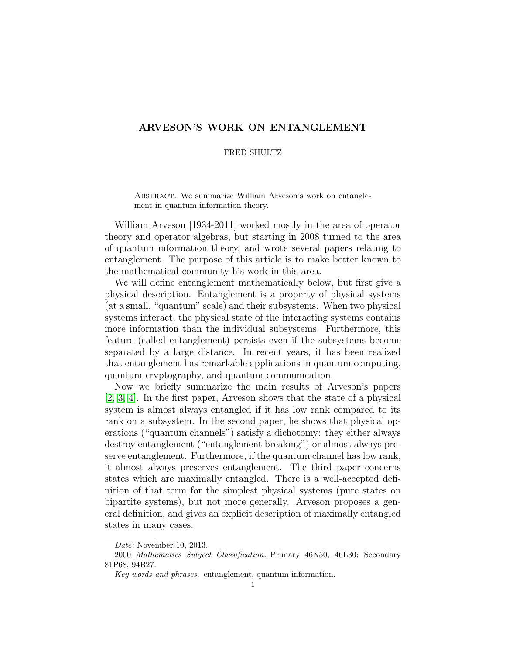# ARVESON'S WORK ON ENTANGLEMENT

# FRED SHULTZ

ABSTRACT. We summarize William Arveson's work on entanglement in quantum information theory.

William Arveson [1934-2011] worked mostly in the area of operator theory and operator algebras, but starting in 2008 turned to the area of quantum information theory, and wrote several papers relating to entanglement. The purpose of this article is to make better known to the mathematical community his work in this area.

We will define entanglement mathematically below, but first give a physical description. Entanglement is a property of physical systems (at a small, "quantum" scale) and their subsystems. When two physical systems interact, the physical state of the interacting systems contains more information than the individual subsystems. Furthermore, this feature (called entanglement) persists even if the subsystems become separated by a large distance. In recent years, it has been realized that entanglement has remarkable applications in quantum computing, quantum cryptography, and quantum communication.

Now we briefly summarize the main results of Arveson's papers [\[2,](#page-6-0) [3,](#page-6-1) [4\]](#page-6-2). In the first paper, Arveson shows that the state of a physical system is almost always entangled if it has low rank compared to its rank on a subsystem. In the second paper, he shows that physical operations ("quantum channels") satisfy a dichotomy: they either always destroy entanglement ("entanglement breaking") or almost always preserve entanglement. Furthermore, if the quantum channel has low rank, it almost always preserves entanglement. The third paper concerns states which are maximally entangled. There is a well-accepted definition of that term for the simplest physical systems (pure states on bipartite systems), but not more generally. Arveson proposes a general definition, and gives an explicit description of maximally entangled states in many cases.

Date: November 10, 2013.

<sup>2000</sup> Mathematics Subject Classification. Primary 46N50, 46L30; Secondary 81P68, 94B27.

Key words and phrases. entanglement, quantum information.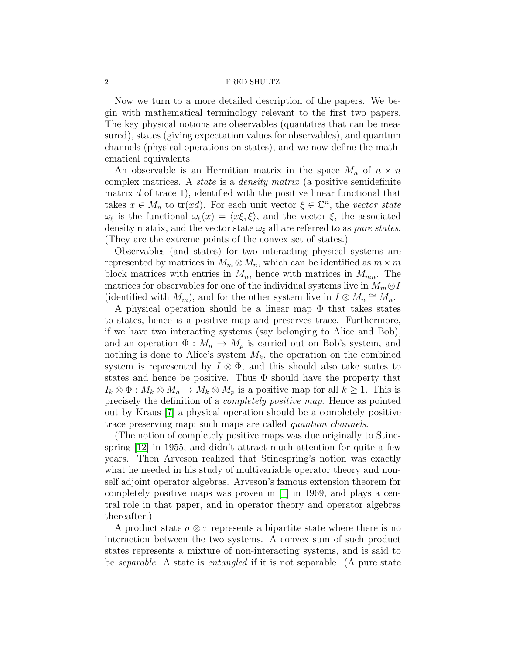Now we turn to a more detailed description of the papers. We begin with mathematical terminology relevant to the first two papers. The key physical notions are observables (quantities that can be measured), states (giving expectation values for observables), and quantum channels (physical operations on states), and we now define the mathematical equivalents.

An observable is an Hermitian matrix in the space  $M_n$  of  $n \times n$ complex matrices. A state is a density matrix (a positive semidefinite matrix  $d$  of trace 1), identified with the positive linear functional that takes  $x \in M_n$  to tr(xd). For each unit vector  $\xi \in \mathbb{C}^n$ , the vector state  $\omega_{\xi}$  is the functional  $\omega_{\xi}(x) = \langle x \xi, \xi \rangle$ , and the vector  $\xi$ , the associated density matrix, and the vector state  $\omega_{\xi}$  all are referred to as *pure states*. (They are the extreme points of the convex set of states.)

Observables (and states) for two interacting physical systems are represented by matrices in  $M_m \otimes M_n$ , which can be identified as  $m \times m$ block matrices with entries in  $M_n$ , hence with matrices in  $M_{mn}$ . The matrices for observables for one of the individual systems live in  $M_m \otimes I$ (identified with  $M_m$ ), and for the other system live in  $I \otimes M_n \cong M_n$ .

A physical operation should be a linear map  $\Phi$  that takes states to states, hence is a positive map and preserves trace. Furthermore, if we have two interacting systems (say belonging to Alice and Bob), and an operation  $\Phi: M_n \to M_p$  is carried out on Bob's system, and nothing is done to Alice's system  $M_k$ , the operation on the combined system is represented by  $I \otimes \Phi$ , and this should also take states to states and hence be positive. Thus  $\Phi$  should have the property that  $I_k \otimes \Phi : M_k \otimes M_n \to M_k \otimes M_p$  is a positive map for all  $k \geq 1$ . This is precisely the definition of a completely positive map. Hence as pointed out by Kraus [\[7\]](#page-6-3) a physical operation should be a completely positive trace preserving map; such maps are called quantum channels.

(The notion of completely positive maps was due originally to Stinespring  $|12|$  in 1955, and didn't attract much attention for quite a few years. Then Arveson realized that Stinespring's notion was exactly what he needed in his study of multivariable operator theory and nonself adjoint operator algebras. Arveson's famous extension theorem for completely positive maps was proven in [\[1\]](#page-6-4) in 1969, and plays a central role in that paper, and in operator theory and operator algebras thereafter.)

A product state  $\sigma \otimes \tau$  represents a bipartite state where there is no interaction between the two systems. A convex sum of such product states represents a mixture of non-interacting systems, and is said to be separable. A state is entangled if it is not separable. (A pure state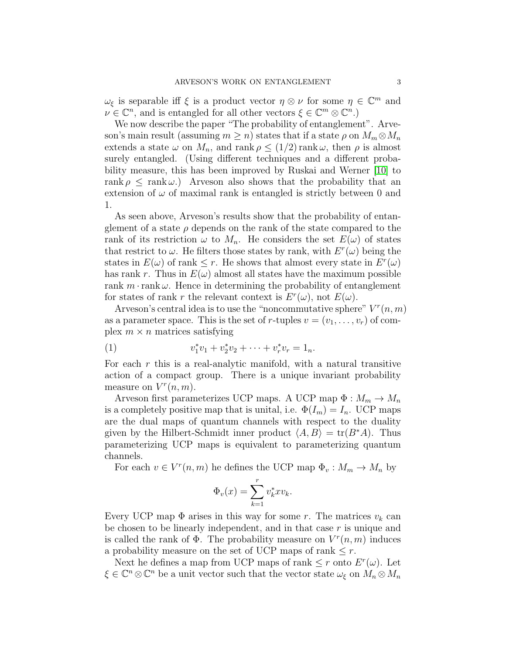$\omega_{\xi}$  is separable iff  $\xi$  is a product vector  $\eta \otimes \nu$  for some  $\eta \in \mathbb{C}^m$  and  $\nu \in \mathbb{C}^n$ , and is entangled for all other vectors  $\xi \in \mathbb{C}^m \otimes \mathbb{C}^n$ .

We now describe the paper "The probability of entanglement". Arveson's main result (assuming  $m \geq n$ ) states that if a state  $\rho$  on  $M_m \otimes M_n$ extends a state  $\omega$  on  $M_n$ , and rank  $\rho \leq (1/2)$  rank  $\omega$ , then  $\rho$  is almost surely entangled. (Using different techniques and a different probability measure, this has been improved by Ruskai and Werner [\[10\]](#page-6-5) to rank  $\rho \leq \text{rank } \omega$ .) Arveson also shows that the probability that an extension of  $\omega$  of maximal rank is entangled is strictly between 0 and 1.

As seen above, Arveson's results show that the probability of entanglement of a state  $\rho$  depends on the rank of the state compared to the rank of its restriction  $\omega$  to  $M_n$ . He considers the set  $E(\omega)$  of states that restrict to  $\omega$ . He filters those states by rank, with  $E^r(\omega)$  being the states in  $E(\omega)$  of rank  $\leq r$ . He shows that almost every state in  $E^r(\omega)$ has rank r. Thus in  $E(\omega)$  almost all states have the maximum possible rank  $m \cdot$ rank  $\omega$ . Hence in determining the probability of entanglement for states of rank r the relevant context is  $E^r(\omega)$ , not  $E(\omega)$ .

Arveson's central idea is to use the "noncommutative sphere"  $V^r(n,m)$ as a parameter space. This is the set of r-tuples  $v = (v_1, \ldots, v_r)$  of complex  $m \times n$  matrices satisfying

(1) 
$$
v_1^* v_1 + v_2^* v_2 + \cdots + v_r^* v_r = 1_n.
$$

For each  $r$  this is a real-analytic manifold, with a natural transitive action of a compact group. There is a unique invariant probability measure on  $V^r(n,m)$ .

Arveson first parameterizes UCP maps. A UCP map  $\Phi : M_m \to M_n$ is a completely positive map that is unital, i.e.  $\Phi(I_m) = I_n$ . UCP maps are the dual maps of quantum channels with respect to the duality given by the Hilbert-Schmidt inner product  $\langle A, B \rangle = \text{tr}(B^*A)$ . Thus parameterizing UCP maps is equivalent to parameterizing quantum channels.

For each  $v \in V^{r}(n, m)$  he defines the UCP map  $\Phi_{v}: M_{m} \to M_{n}$  by

$$
\Phi_v(x) = \sum_{k=1}^r v_k^* x v_k.
$$

Every UCP map  $\Phi$  arises in this way for some r. The matrices  $v_k$  can be chosen to be linearly independent, and in that case  $r$  is unique and is called the rank of  $\Phi$ . The probability measure on  $V^r(n,m)$  induces a probability measure on the set of UCP maps of rank  $\leq r$ .

Next he defines a map from UCP maps of rank  $\leq r$  onto  $E^r(\omega)$ . Let  $\xi \in \mathbb{C}^n \otimes \mathbb{C}^n$  be a unit vector such that the vector state  $\omega_{\xi}$  on  $\overset{\circ}{M_n} \otimes M_n$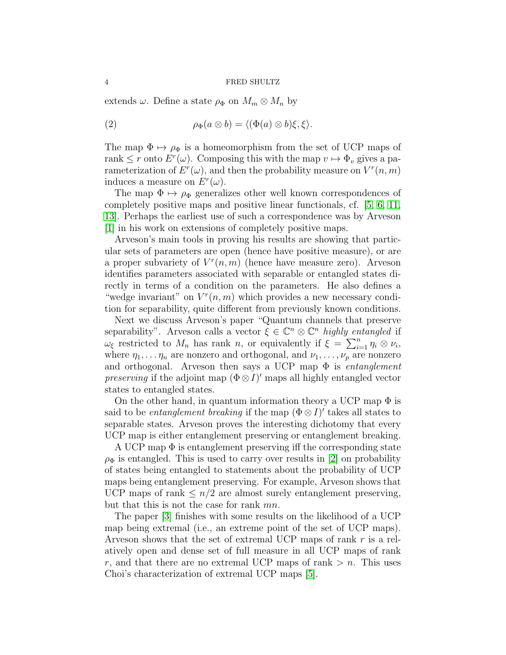extends  $\omega$ . Define a state  $\rho_{\Phi}$  on  $M_m \otimes M_n$  by

(2) 
$$
\rho_{\Phi}(a \otimes b) = \langle (\Phi(a) \otimes b)\xi, \xi \rangle.
$$

The map  $\Phi \mapsto \rho_{\Phi}$  is a homeomorphism from the set of UCP maps of rank  $\leq r$  onto  $E^r(\omega)$ . Composing this with the map  $v \mapsto \Phi_v$  gives a parameterization of  $E^r(\omega)$ , and then the probability measure on  $V^r(n,m)$ induces a measure on  $E^r(\omega)$ .

The map  $\Phi \mapsto \rho_{\Phi}$  generalizes other well known correspondences of completely positive maps and positive linear functionals, cf. [\[5,](#page-6-6) [6,](#page-6-7) [11,](#page-6-8) [13\]](#page-7-1). Perhaps the earliest use of such a correspondence was by Arveson [\[1\]](#page-6-4) in his work on extensions of completely positive maps.

Arveson's main tools in proving his results are showing that particular sets of parameters are open (hence have positive measure), or are a proper subvariety of  $V^r(n,m)$  (hence have measure zero). Arveson identifies parameters associated with separable or entangled states directly in terms of a condition on the parameters. He also defines a "wedge invariant" on  $V^r(n,m)$  which provides a new necessary condition for separability, quite different from previously known conditions.

Next we discuss Arveson's paper "Quantum channels that preserve separability". Arveson calls a vector  $\xi \in \mathbb{C}^n \otimes \mathbb{C}^n$  highly entangled if  $\omega_{\xi}$  restricted to  $M_n$  has rank n, or equivalently if  $\xi = \sum_{i=1}^n \eta_i \otimes \nu_i$ , where  $\eta_1, \ldots, \eta_n$  are nonzero and orthogonal, and  $\nu_1, \ldots, \nu_p$  are nonzero and orthogonal. Arveson then says a UCP map  $\Phi$  is *entanglement preserving* if the adjoint map  $(\Phi \otimes I)'$  maps all highly entangled vector states to entangled states.

On the other hand, in quantum information theory a UCP map  $\Phi$  is said to be *entanglement breaking* if the map  $(\Phi \otimes I)'$  takes all states to separable states. Arveson proves the interesting dichotomy that every UCP map is either entanglement preserving or entanglement breaking.

A UCP map  $\Phi$  is entanglement preserving iff the corresponding state  $\rho_{\Phi}$  is entangled. This is used to carry over results in [\[2\]](#page-6-0) on probability of states being entangled to statements about the probability of UCP maps being entanglement preserving. For example, Arveson shows that UCP maps of rank  $\leq n/2$  are almost surely entanglement preserving, but that this is not the case for rank mn.

The paper [\[3\]](#page-6-1) finishes with some results on the likelihood of a UCP map being extremal (i.e., an extreme point of the set of UCP maps). Arveson shows that the set of extremal UCP maps of rank r is a relatively open and dense set of full measure in all UCP maps of rank r, and that there are no extremal UCP maps of rank  $>n$ . This uses Choi's characterization of extremal UCP maps [\[5\]](#page-6-6).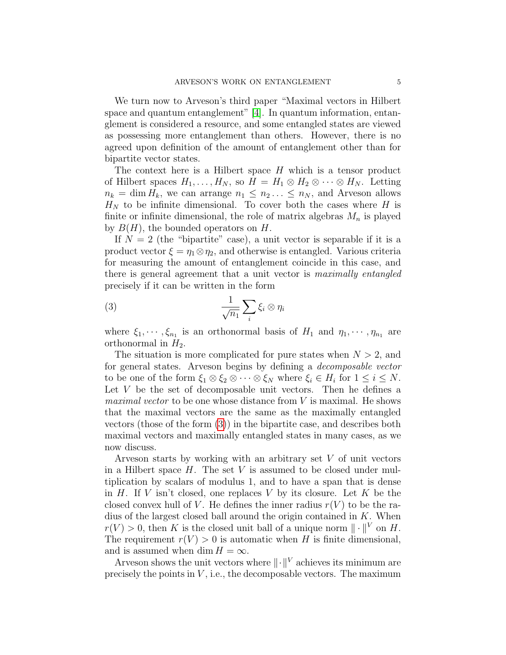We turn now to Arveson's third paper "Maximal vectors in Hilbert space and quantum entanglement" [\[4\]](#page-6-2). In quantum information, entanglement is considered a resource, and some entangled states are viewed as possessing more entanglement than others. However, there is no agreed upon definition of the amount of entanglement other than for bipartite vector states.

The context here is a Hilbert space  $H$  which is a tensor product of Hilbert spaces  $H_1, \ldots, H_N$ , so  $H = H_1 \otimes H_2 \otimes \cdots \otimes H_N$ . Letting  $n_k = \dim H_k$ , we can arrange  $n_1 \leq n_2 \ldots \leq n_N$ , and Arveson allows  $H_N$  to be infinite dimensional. To cover both the cases where H is finite or infinite dimensional, the role of matrix algebras  $M_n$  is played by  $B(H)$ , the bounded operators on H.

If  $N = 2$  (the "bipartite" case), a unit vector is separable if it is a product vector  $\xi = \eta_1 \otimes \eta_2$ , and otherwise is entangled. Various criteria for measuring the amount of entanglement coincide in this case, and there is general agreement that a unit vector is maximally entangled precisely if it can be written in the form

<span id="page-4-0"></span>
$$
\frac{1}{\sqrt{n_1}}\sum_i \xi_i \otimes \eta_i
$$

where  $\xi_1, \dots, \xi_{n_1}$  is an orthonormal basis of  $H_1$  and  $\eta_1, \dots, \eta_{n_1}$  are orthonormal in  $H_2$ .

The situation is more complicated for pure states when  $N > 2$ , and for general states. Arveson begins by defining a decomposable vector to be one of the form  $\xi_1 \otimes \xi_2 \otimes \cdots \otimes \xi_N$  where  $\xi_i \in H_i$  for  $1 \leq i \leq N$ . Let V be the set of decomposable unit vectors. Then he defines a maximal vector to be one whose distance from V is maximal. He shows that the maximal vectors are the same as the maximally entangled vectors (those of the form [\(3\)](#page-4-0)) in the bipartite case, and describes both maximal vectors and maximally entangled states in many cases, as we now discuss.

Arveson starts by working with an arbitrary set V of unit vectors in a Hilbert space  $H$ . The set  $V$  is assumed to be closed under multiplication by scalars of modulus 1, and to have a span that is dense in  $H$ . If V isn't closed, one replaces V by its closure. Let K be the closed convex hull of V. He defines the inner radius  $r(V)$  to be the radius of the largest closed ball around the origin contained in  $K$ . When  $r(V) > 0$ , then K is the closed unit ball of a unique norm  $\| \cdot \|^{V}$  on H. The requirement  $r(V) > 0$  is automatic when H is finite dimensional, and is assumed when dim  $H = \infty$ .

Arveson shows the unit vectors where  $\Vert \cdot \Vert^{V}$  achieves its minimum are precisely the points in  $V$ , i.e., the decomposable vectors. The maximum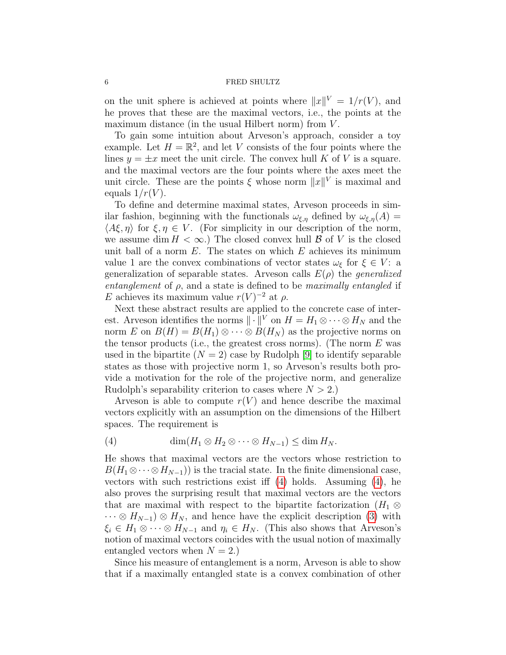on the unit sphere is achieved at points where  $||x||^V = 1/r(V)$ , and he proves that these are the maximal vectors, i.e., the points at the maximum distance (in the usual Hilbert norm) from  $V$ .

To gain some intuition about Arveson's approach, consider a toy example. Let  $H = \mathbb{R}^2$ , and let V consists of the four points where the lines  $y = \pm x$  meet the unit circle. The convex hull K of V is a square. and the maximal vectors are the four points where the axes meet the unit circle. These are the points  $\xi$  whose norm  $||x||^V$  is maximal and equals  $1/r(V)$ .

To define and determine maximal states, Arveson proceeds in similar fashion, beginning with the functionals  $\omega_{\xi,\eta}$  defined by  $\omega_{\xi,\eta}(A) =$  $\langle A\xi, \eta \rangle$  for  $\xi, \eta \in V$ . (For simplicity in our description of the norm, we assume dim  $H < \infty$ .) The closed convex hull  $\beta$  of V is the closed unit ball of a norm  $E$ . The states on which  $E$  achieves its minimum value 1 are the convex combinations of vector states  $\omega_{\xi}$  for  $\xi \in V$ : a generalization of separable states. Arveson calls  $E(\rho)$  the *generalized* entanglement of  $\rho$ , and a state is defined to be maximally entangled if E achieves its maximum value  $r(V)^{-2}$  at  $\rho$ .

Next these abstract results are applied to the concrete case of interest. Arveson identifies the norms  $\|\cdot\|^V$  on  $H = H_1 \otimes \cdots \otimes H_N$  and the norm E on  $B(H) = B(H_1) \otimes \cdots \otimes B(H_N)$  as the projective norms on the tensor products (i.e., the greatest cross norms). (The norm  $E$  was used in the bipartite  $(N = 2)$  case by Rudolph [\[9\]](#page-6-9) to identify separable states as those with projective norm 1, so Arveson's results both provide a motivation for the role of the projective norm, and generalize Rudolph's separability criterion to cases where  $N > 2$ .)

Arveson is able to compute  $r(V)$  and hence describe the maximal vectors explicitly with an assumption on the dimensions of the Hilbert spaces. The requirement is

<span id="page-5-0"></span>
$$
(4) \qquad \dim(H_1 \otimes H_2 \otimes \cdots \otimes H_{N-1}) \leq \dim H_N.
$$

He shows that maximal vectors are the vectors whose restriction to  $B(H_1 \otimes \cdots \otimes H_{N-1})$  is the tracial state. In the finite dimensional case, vectors with such restrictions exist iff [\(4\)](#page-5-0) holds. Assuming [\(4\)](#page-5-0), he also proves the surprising result that maximal vectors are the vectors that are maximal with respect to the bipartite factorization  $(H_1 \otimes$  $\cdots \otimes H_{N-1}$ )  $\otimes H_N$ , and hence have the explicit description [\(3\)](#page-4-0) with  $\xi_i \in H_1 \otimes \cdots \otimes H_{N-1}$  and  $\eta_i \in H_N$ . (This also shows that Arveson's notion of maximal vectors coincides with the usual notion of maximally entangled vectors when  $N = 2$ .)

Since his measure of entanglement is a norm, Arveson is able to show that if a maximally entangled state is a convex combination of other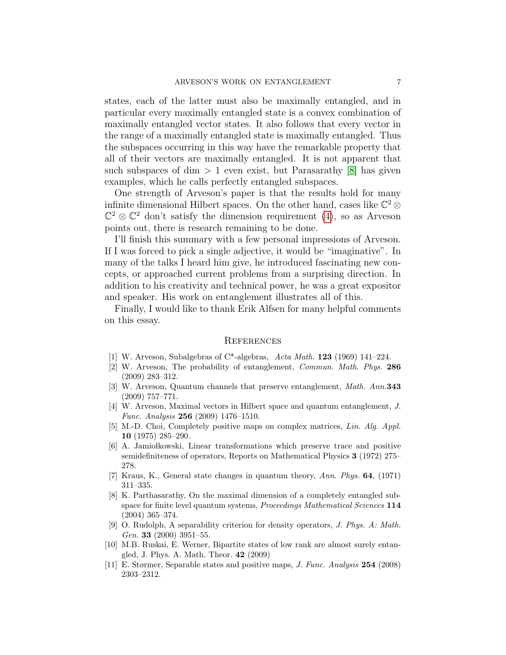states, each of the latter must also be maximally entangled, and in particular every maximally entangled state is a convex combination of maximally entangled vector states. It also follows that every vector in the range of a maximally entangled state is maximally entangled. Thus the subspaces occurring in this way have the remarkable property that all of their vectors are maximally entangled. It is not apparent that such subspaces of dim  $> 1$  even exist, but Parasarathy [\[8\]](#page-6-10) has given examples, which he calls perfectly entangled subspaces.

One strength of Arveson's paper is that the results hold for many infinite dimensional Hilbert spaces. On the other hand, cases like  $\mathbb{C}^2 \otimes$  $\mathbb{C}^2 \otimes \mathbb{C}^2$  don't satisfy the dimension requirement [\(4\)](#page-5-0), so as Arveson points out, there is research remaining to be done.

I'll finish this summary with a few personal impressions of Arveson. If I was forced to pick a single adjective, it would be "imaginative". In many of the talks I heard him give, he introduced fascinating new concepts, or approached current problems from a surprising direction. In addition to his creativity and technical power, he was a great expositor and speaker. His work on entanglement illustrates all of this.

Finally, I would like to thank Erik Alfsen for many helpful comments on this essay.

# **REFERENCES**

- <span id="page-6-4"></span>[1] W. Arveson, Subalgebras of C\*-algebras, Acta Math. 123 (1969) 141–224.
- <span id="page-6-0"></span>[2] W. Arveson, The probability of entanglement, Commun. Math. Phys. 286 (2009) 283–312.
- <span id="page-6-1"></span>[3] W. Arveson, Quantum channels that preserve entanglement, Math. Ann.343 (2009) 757–771.
- <span id="page-6-2"></span>[4] W. Arveson, Maximal vectors in Hilbert space and quantum entanglement, J. Func. Analysis 256 (2009) 1476–1510.
- <span id="page-6-6"></span>[5] M.-D. Choi, Completely positive maps on complex matrices, Lin. Alg. Appl. 10 (1975) 285–290.
- <span id="page-6-7"></span>[6] A. Jamiołkowski, Linear transformations which preserve trace and positive semidefiniteness of operators, Reports on Mathematical Physics 3 (1972) 275– 278.
- <span id="page-6-3"></span>[7] Kraus, K., General state changes in quantum theory, Ann. Phys. 64, (1971) 311–335.
- <span id="page-6-10"></span>[8] K. Parthasarathy, On the maximal dimension of a completely entangled subspace for finite level quantum systems, Proceedings Mathematical Sciences 114 (2004) 365–374.
- <span id="page-6-9"></span>[9] O. Rudolph, A separability criterion for density operators, J. Phys. A: Math. Gen. 33 (2000) 3951-55.
- <span id="page-6-5"></span>[10] M.B. Ruskai, E. Werner, Bipartite states of low rank are almost surely entangled, J. Phys. A. Math. Theor. 42 (2009)
- <span id="page-6-8"></span>[11] E. Størmer, Separable states and positive maps, J. Func. Analysis 254 (2008) 2303–2312.